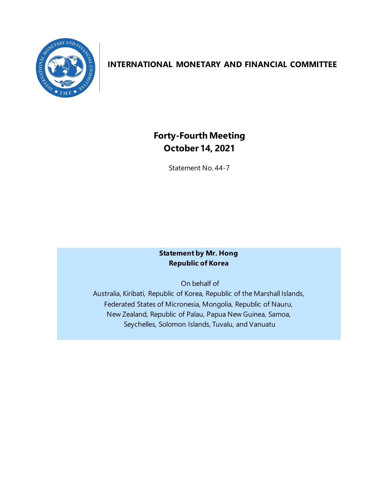

## **INTERNATIONAL MONETARY AND FINANCIAL COMMITTEE**

# **Forty-Fourth Meeting October 14, 2021**

Statement No. 44-7

#### **Statement by Mr. Hong Republic of Korea**

On behalf of

Australia, Kiribati, Republic of Korea, Republic of the Marshall Islands, Federated States of Micronesia, Mongolia, Republic of Nauru, New Zealand, Republic of Palau, Papua New Guinea, Samoa, Seychelles, Solomon Islands, Tuvalu, and Vanuatu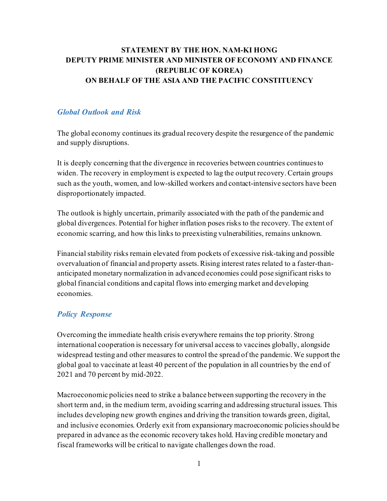#### **STATEMENT BY THE HON. NAM-KI HONG DEPUTY PRIME MINISTER AND MINISTER OF ECONOMY AND FINANCE (REPUBLIC OF KOREA) ON BEHALF OF THE ASIA AND THE PACIFIC CONSTITUENCY**

#### *Global Outlook and Risk*

The global economy continues its gradual recovery despite the resurgence of the pandemic and supply disruptions.

It is deeply concerning that the divergence in recoveries between countries continues to widen. The recovery in employment is expected to lag the output recovery. Certain groups such as the youth, women, and low-skilled workers and contact-intensive sectors have been disproportionately impacted.

The outlook is highly uncertain, primarily associated with the path of the pandemic and global divergences. Potential for higher inflation poses risks to the recovery. The extent of economic scarring, and how this links to preexisting vulnerabilities, remains unknown.

Financial stability risks remain elevated from pockets of excessive risk-taking and possible overvaluation of financial and property assets. Rising interest rates related to a faster-thananticipated monetary normalization in advanced economies could pose significant risks to global financial conditions and capital flows into emerging market and developing economies.

#### *Policy Response*

Overcoming the immediate health crisis everywhere remains the top priority. Strong international cooperation is necessary for universal access to vaccines globally, alongside widespread testing and other measures to control the spread of the pandemic. We support the global goal to vaccinate at least 40 percent of the population in all countries by the end of 2021 and 70 percent by mid-2022.

Macroeconomic policies need to strike a balance between supporting the recovery in the short term and, in the medium term, avoiding scarring and addressing structural issues. This includes developing new growth engines and driving the transition towards green, digital, and inclusive economies. Orderly exit from expansionary macroeconomic policies should be prepared in advance as the economic recovery takes hold. Having credible monetary and fiscal frameworks will be critical to navigate challenges down the road.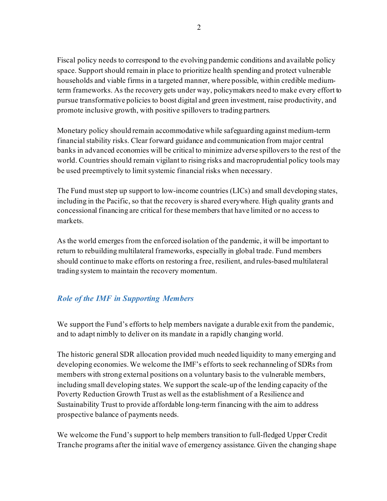Fiscal policy needs to correspond to the evolving pandemic conditions and available policy space. Support should remain in place to prioritize health spending and protect vulnerable households and viable firms in a targeted manner, where possible, within credible mediumterm frameworks. As the recovery gets under way, policymakers need to make every effort to pursue transformative policies to boost digital and green investment, raise productivity, and promote inclusive growth, with positive spillovers to trading partners.

Monetary policy should remain accommodative while safeguarding against medium-term financial stability risks. Clear forward guidance and communication from major central banks in advanced economies will be critical to minimize adverse spillovers to the rest of the world. Countries should remain vigilant to rising risks and macroprudential policy tools may be used preemptively to limit systemic financial risks when necessary.

The Fund must step up support to low-income countries (LICs) and small developing states, including in the Pacific, so that the recovery is shared everywhere. High quality grants and concessional financing are critical for these members that have limited or no access to markets.

As the world emerges from the enforced isolation of the pandemic, it will be important to return to rebuilding multilateral frameworks, especially in global trade. Fund members should continue to make efforts on restoring a free, resilient, and rules-based multilateral trading system to maintain the recovery momentum.

### *Role of the IMF in Supporting Members*

We support the Fund's efforts to help members navigate a durable exit from the pandemic, and to adapt nimbly to deliver on its mandate in a rapidly changing world.

The historic general SDR allocation provided much needed liquidity to many emerging and developing economies.We welcome the IMF's efforts to seek rechanneling of SDRs from members with strong external positions on a voluntary basis to the vulnerable members, including small developing states. We support the scale-up of the lending capacity of the Poverty Reduction Growth Trust as well as the establishment of a Resilience and Sustainability Trust to provide affordable long-term financing with the aim to address prospective balance of payments needs.

We welcome the Fund's support to help members transition to full-fledged Upper Credit Tranche programs after the initial wave of emergency assistance. Given the changing shape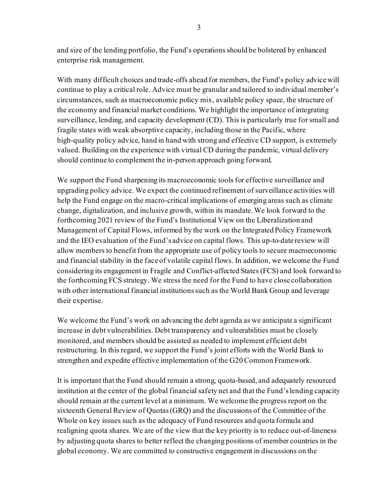and size of the lending portfolio, the Fund's operations should be bolstered by enhanced enterprise risk management.

With many difficult choices and trade-offs ahead for members, the Fund's policy advice will continue to play a critical role. Advice must be granular and tailored to individual member's circumstances, such as macroeconomic policy mix, available policy space, the structure of the economy and financial market conditions. We highlight the importance of integrating surveillance, lending, and capacity development (CD). This is particularly true for small and fragile states with weak absorptive capacity, including those in the Pacific, where high-quality policy advice, hand in hand with strong and effective CD support, is extremely valued. Building on the experience with virtual CD during the pandemic, virtual delivery should continue to complement the in-person approach going forward.

We support the Fund sharpening its macroeconomic tools for effective surveillance and upgrading policy advice. We expect the continued refinement of surveillance activities will help the Fund engage on the macro-critical implications of emerging areas such as climate change, digitalization, and inclusive growth, within its mandate. We look forward to the forthcoming 2021 review of the Fund's Institutional View on the Liberalization and Management of Capital Flows, informed by the work on the Integrated Policy Framework and the IEO evaluation of the Fund's advice on capital flows. This up-to-date review will allow members to benefit from the appropriate use of policy tools to secure macroeconomic and financial stability in the face of volatile capital flows. In addition, we welcome the Fund considering its engagement in Fragile and Conflict-affected States (FCS) and look forward to the forthcoming FCS strategy. We stress the need for the Fund to have close collaboration with other international financial institutions such as the World Bank Group and leverage their expertise.

We welcome the Fund's work on advancing the debt agenda as we anticipate a significant increase in debt vulnerabilities. Debt transparency and vulnerabilities must be closely monitored, and members should be assisted as needed to implement efficient debt restructuring. In this regard, we support the Fund's joint efforts with the World Bank to strengthen and expedite effective implementation of the G20 Common Framework.

It is important that the Fund should remain a strong, quota-based, and adequately resourced institution at the center of the global financial safety net and that the Fund's lending capacity should remain at the current level at a minimum. We welcome the progress report on the sixteenth General Review of Quotas (GRQ) and the discussions of the Committee of the Whole on key issues such as the adequacy of Fund resources and quota formula and realigning quota shares. We are of the view that the key priority is to reduce out-of-lineness by adjusting quota shares to better reflect the changing positions of member countries in the global economy. We are committed to constructive engagement in discussions on the